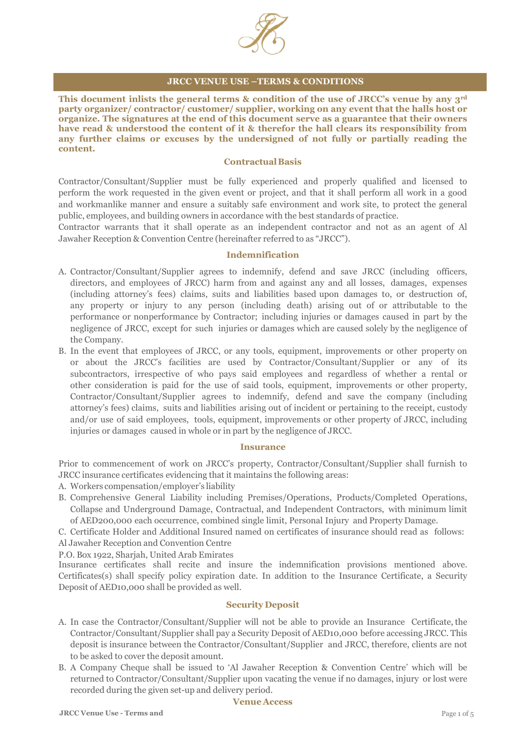

# **JRCC VENUE USE –TERMS & CONDITIONS**

**This document inlists the general terms & condition of the use of JRCC's venue by any 3rd party organizer/ contractor/ customer/ supplier, working on any event that the halls host or organize. The signatures at the end of this document serve as a guarantee that their owners have read & understood the content of it & therefor the hall clears its responsibility from any further claims or excuses by the undersigned of not fully or partially reading the content.**

## **ContractualBasis**

Contractor/Consultant/Supplier must be fully experienced and properly qualified and licensed to perform the work requested in the given event or project, and that it shall perform all work in a good and workmanlike manner and ensure a suitably safe environment and work site, to protect the general public, employees, and building owners in accordance with the best standards of practice.

Contractor warrants that it shall operate as an independent contractor and not as an agent of Al Jawaher Reception & Convention Centre (hereinafter referred to as "JRCC").

### **Indemnification**

- A. Contractor/Consultant/Supplier agrees to indemnify, defend and save JRCC (including officers, directors, and employees of JRCC) harm from and against any and all losses, damages, expenses (including attorney's fees) claims, suits and liabilities based upon damages to, or destruction of, any property or injury to any person (including death) arising out of or attributable to the performance or nonperformance by Contractor; including injuries or damages caused in part by the negligence of JRCC, except for such injuries or damages which are caused solely by the negligence of the Company.
- B. In the event that employees of JRCC, or any tools, equipment, improvements or other property on or about the JRCC's facilities are used by Contractor/Consultant/Supplier or any of its subcontractors, irrespective of who pays said employees and regardless of whether a rental or other consideration is paid for the use of said tools, equipment, improvements or other property, Contractor/Consultant/Supplier agrees to indemnify, defend and save the company (including attorney's fees) claims, suits and liabilities arising out of incident or pertaining to the receipt, custody and/or use of said employees, tools, equipment, improvements or other property of JRCC, including injuries or damages caused in whole or in part by the negligence of JRCC.

### **Insurance**

Prior to commencement of work on JRCC's property, Contractor/Consultant/Supplier shall furnish to JRCC insurance certificates evidencing that it maintains the following areas:

- A. Workers compensation/employer's liability
- B. Comprehensive General Liability including Premises/Operations, Products/Completed Operations, Collapse and Underground Damage, Contractual, and Independent Contractors, with minimum limit of AED200,000 each occurrence, combined single limit, Personal Injury and Property Damage.
- C. Certificate Holder and Additional Insured named on certificates of insurance should read as follows: Al Jawaher Reception and Convention Centre

P.O. Box 1922, Sharjah, United Arab Emirates

Insurance certificates shall recite and insure the indemnification provisions mentioned above. Certificates(s) shall specify policy expiration date. In addition to the Insurance Certificate, a Security Deposit of AED10,000 shall be provided as well.

#### **Security Deposit**

- A. In case the Contractor/Consultant/Supplier will not be able to provide an Insurance Certificate, the Contractor/Consultant/Supplier shall pay a Security Deposit of AED10,000 before accessing JRCC. This deposit is insurance between the Contractor/Consultant/Supplier and JRCC, therefore, clients are not to be asked to cover the deposit amount.
- B. A Company Cheque shall be issued to 'Al Jawaher Reception & Convention Centre' which will be returned to Contractor/Consultant/Supplier upon vacating the venue if no damages, injury or lost were recorded during the given set-up and delivery period.

### **Venue Access**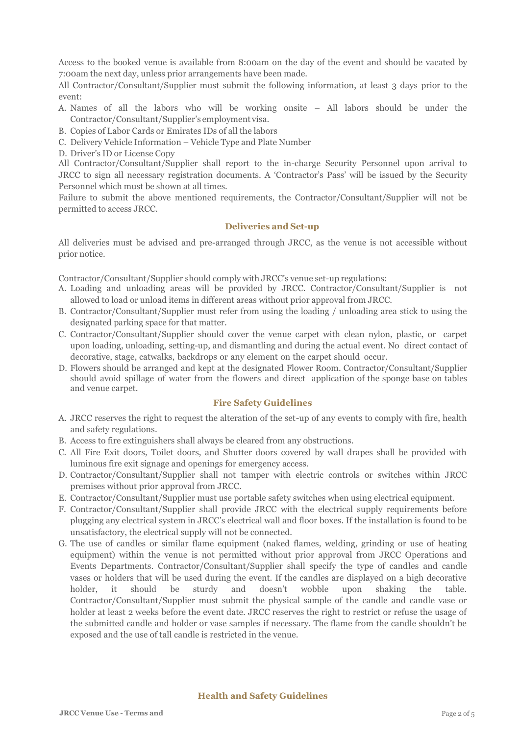Access to the booked venue is available from 8:00am on the day of the event and should be vacated by 7:00am the next day, unless prior arrangements have been made.

All Contractor/Consultant/Supplier must submit the following information, at least 3 days prior to the event:

- A. Names of all the labors who will be working onsite All labors should be under the Contractor/Consultant/Supplier's employment visa.
- B. Copies of Labor Cards or Emirates IDs of all the labors
- C. Delivery Vehicle Information Vehicle Type and Plate Number
- D. Driver's ID or License Copy

All Contractor/Consultant/Supplier shall report to the in-charge Security Personnel upon arrival to JRCC to sign all necessary registration documents. A 'Contractor's Pass' will be issued by the Security Personnel which must be shown at all times.

Failure to submit the above mentioned requirements, the Contractor/Consultant/Supplier will not be permitted to access JRCC.

# **Deliveries and Set-up**

All deliveries must be advised and pre-arranged through JRCC, as the venue is not accessible without prior notice.

Contractor/Consultant/Supplier should comply with JRCC's venue set-up regulations:

- A. Loading and unloading areas will be provided by JRCC. Contractor/Consultant/Supplier is not allowed to load or unload items in different areas without prior approval from JRCC.
- B. Contractor/Consultant/Supplier must refer from using the loading / unloading area stick to using the designated parking space for that matter.
- C. Contractor/Consultant/Supplier should cover the venue carpet with clean nylon, plastic, or carpet upon loading, unloading, setting-up, and dismantling and during the actual event. No direct contact of decorative, stage, catwalks, backdrops or any element on the carpet should occur.
- D. Flowers should be arranged and kept at the designated Flower Room. Contractor/Consultant/Supplier should avoid spillage of water from the flowers and direct application of the sponge base on tables and venue carpet.

#### **Fire Safety Guidelines**

- A. JRCC reserves the right to request the alteration of the set-up of any events to comply with fire, health and safety regulations.
- B. Access to fire extinguishers shall always be cleared from any obstructions.
- C. All Fire Exit doors, Toilet doors, and Shutter doors covered by wall drapes shall be provided with luminous fire exit signage and openings for emergency access.
- D. Contractor/Consultant/Supplier shall not tamper with electric controls or switches within JRCC premises without prior approval from JRCC.
- E. Contractor/Consultant/Supplier must use portable safety switches when using electrical equipment.
- F. Contractor/Consultant/Supplier shall provide JRCC with the electrical supply requirements before plugging any electrical system in JRCC's electrical wall and floor boxes. If the installation is found to be unsatisfactory, the electrical supply will not be connected.
- G. The use of candles or similar flame equipment (naked flames, welding, grinding or use of heating equipment) within the venue is not permitted without prior approval from JRCC Operations and Events Departments. Contractor/Consultant/Supplier shall specify the type of candles and candle vases or holders that will be used during the event. If the candles are displayed on a high decorative holder, it should be sturdy and doesn't wobble upon shaking the table. Contractor/Consultant/Supplier must submit the physical sample of the candle and candle vase or holder at least 2 weeks before the event date. JRCC reserves the right to restrict or refuse the usage of the submitted candle and holder or vase samples if necessary. The flame from the candle shouldn't be exposed and the use of tall candle is restricted in the venue.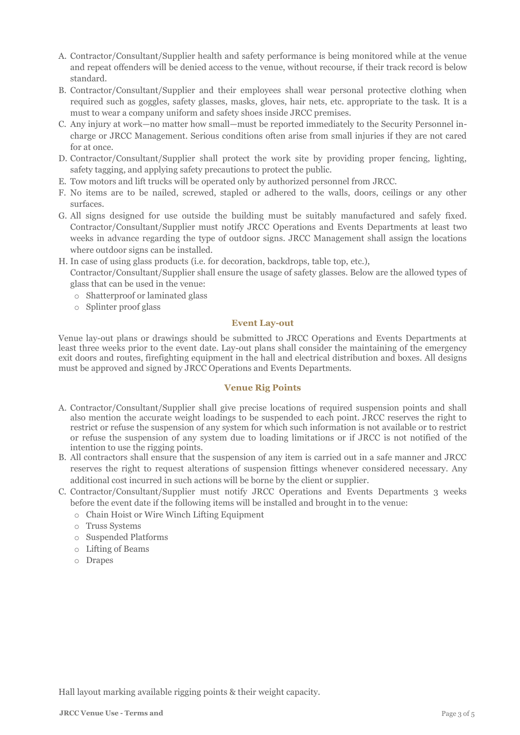- A. Contractor/Consultant/Supplier health and safety performance is being monitored while at the venue and repeat offenders will be denied access to the venue, without recourse, if their track record is below standard.
- B. Contractor/Consultant/Supplier and their employees shall wear personal protective clothing when required such as goggles, safety glasses, masks, gloves, hair nets, etc. appropriate to the task. It is a must to wear a company uniform and safety shoes inside JRCC premises.
- C. Any injury at work—no matter how small—must be reported immediately to the Security Personnel incharge or JRCC Management. Serious conditions often arise from small injuries if they are not cared for at once.
- D. Contractor/Consultant/Supplier shall protect the work site by providing proper fencing, lighting, safety tagging, and applying safety precautions to protect the public.
- E. Tow motors and lift trucks will be operated only by authorized personnel from JRCC.
- F. No items are to be nailed, screwed, stapled or adhered to the walls, doors, ceilings or any other surfaces.
- G. All signs designed for use outside the building must be suitably manufactured and safely fixed. Contractor/Consultant/Supplier must notify JRCC Operations and Events Departments at least two weeks in advance regarding the type of outdoor signs. JRCC Management shall assign the locations where outdoor signs can be installed.
- H. In case of using glass products (i.e. for decoration, backdrops, table top, etc.),

Contractor/Consultant/Supplier shall ensure the usage of safety glasses. Below are the allowed types of glass that can be used in the venue:

- o Shatterproof or laminated glass
- o Splinter proof glass

# **Event Lay-out**

Venue lay-out plans or drawings should be submitted to JRCC Operations and Events Departments at least three weeks prior to the event date. Lay-out plans shall consider the maintaining of the emergency exit doors and routes, firefighting equipment in the hall and electrical distribution and boxes. All designs must be approved and signed by JRCC Operations and Events Departments.

# **Venue Rig Points**

- A. Contractor/Consultant/Supplier shall give precise locations of required suspension points and shall also mention the accurate weight loadings to be suspended to each point. JRCC reserves the right to restrict or refuse the suspension of any system for which such information is not available or to restrict or refuse the suspension of any system due to loading limitations or if JRCC is not notified of the intention to use the rigging points.
- B. All contractors shall ensure that the suspension of any item is carried out in a safe manner and JRCC reserves the right to request alterations of suspension fittings whenever considered necessary. Any additional cost incurred in such actions will be borne by the client or supplier.
- C. Contractor/Consultant/Supplier must notify JRCC Operations and Events Departments 3 weeks before the event date if the following items will be installed and brought in to the venue:
	- o Chain Hoist or Wire Winch Lifting Equipment
	- o Truss Systems
	- o Suspended Platforms
	- o Lifting of Beams
	- o Drapes

Hall layout marking available rigging points & their weight capacity.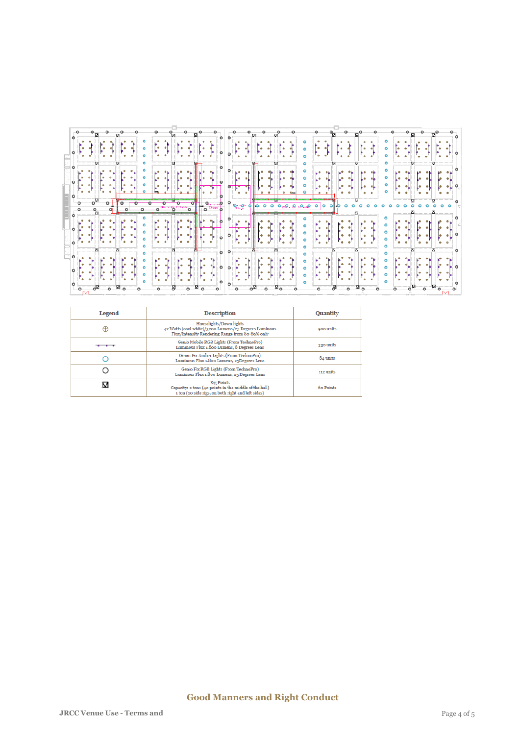| -ം |  | $\begin{bmatrix} 1 & 1 \\ 1 & 1 \end{bmatrix}$<br>$\frac{1}{\sqrt{2}}$ |  |           |  |  |  |  |  |  |  |           |  |  |               |  |  | <b>SENENEN</b> | $\begin{bmatrix} \cdot & \cdot & \cdot \\ \cdot & \cdot & \cdot \end{bmatrix}$ $\begin{bmatrix} \cdot & \cdot & \cdot \\ \cdot & \cdot & \cdot \end{bmatrix}$ $\circ$ |
|----|--|------------------------------------------------------------------------|--|-----------|--|--|--|--|--|--|--|-----------|--|--|---------------|--|--|----------------|-----------------------------------------------------------------------------------------------------------------------------------------------------------------------|
|    |  |                                                                        |  | $\bullet$ |  |  |  |  |  |  |  | $\bullet$ |  |  | <b>自制的事例》</b> |  |  |                | [ 中国 中国]                                                                                                                                                              |

| Legend | <b>Description</b>                                                                                                                  | <b>Quantity</b> |  |  |  |
|--------|-------------------------------------------------------------------------------------------------------------------------------------|-----------------|--|--|--|
| ⊕      | Houselights/Down lights<br>42 Watts (cool white)/3200 Lumens/25 Degrees Luminous<br>Flux/Intensity Rendering Range from 80-89% only | 900 units       |  |  |  |
|        | Genio Mobile RGB Lights (From TechnoPro)<br>Luminous Flux 1.800 Lumens, 8 Degrees Lens                                              | 330 units       |  |  |  |
|        | Genio Fix Amber Lights (From TechnoPro)<br>Luminous Flux 1.800 Lumens, 25Degrees Lens                                               | 84 units        |  |  |  |
|        | Genio Fix RGB Lights (From TechnoPro)<br>Luminous Flux 1.800 Lumens, 25 Degrees Lens                                                | 112 units       |  |  |  |
|        | <b>Rig Points</b><br>Capacity: 2 tons (40 points in the middle of the hall)<br>1 ton (20 side rigs, on both right and left sides)   | 60 Points       |  |  |  |